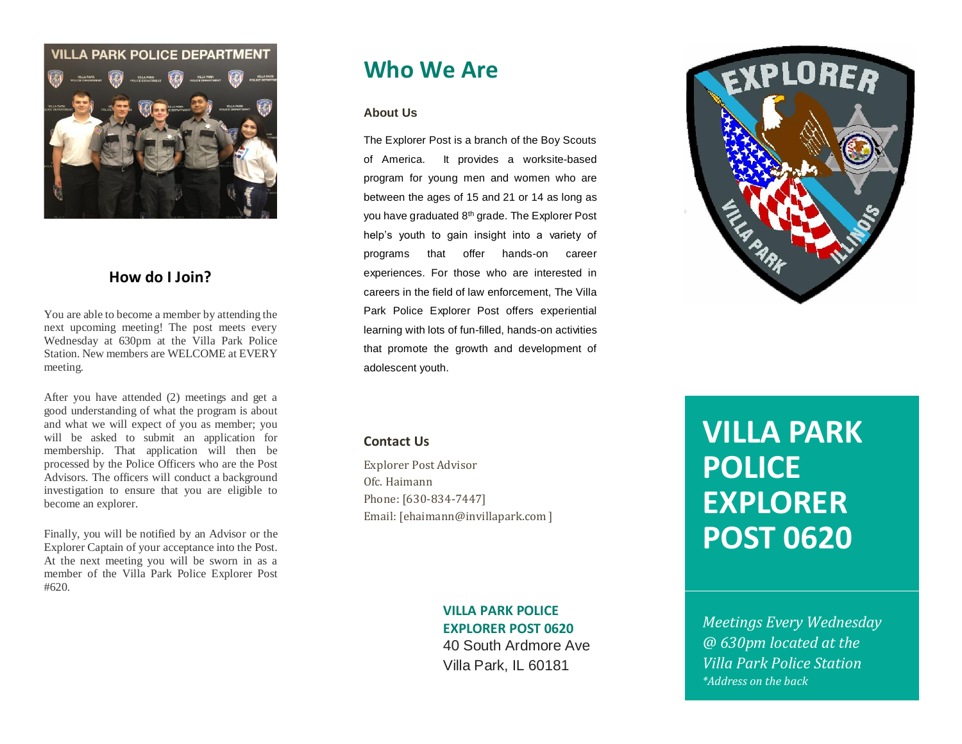

## **How do I Join?**

You are able to become a member by attending the next upcoming meeting! The post meets every Wednesday at 630pm at the Villa Park Police Station. New members are WELCOME at EVERY meeting.

After you have attended (2) meetings and get a good understanding of what the program is about and what we will expect of you as member; you will be asked to submit an application for membership. That application will then be processed by the Police Officers who are the Post Advisors. The officers will conduct a background investigation to ensure that you are eligible to become an explorer.

Finally, you will be notified by an Advisor or the Explorer Captain of your acceptance into the Post. At the next meeting you will be sworn in as a member of the Villa Park Police Explorer Post #620.

# **Who We Are**

### **About Us**

The Explorer Post is a branch of the Boy Scouts of America. It provides a worksite-based program for young men and women who are between the ages of 15 and 21 or 14 as long as you have graduated 8th grade. The Explorer Post help's youth to gain insight into a variety of programs that offer hands-on career experiences. For those who are interested in careers in the field of law enforcement, The Villa Park Police Explorer Post offers experiential learning with lots of fun-filled, hands-on activities that promote the growth and development of adolescent youth.



### **Contact Us**

Explorer Post Advisor Ofc. Haimann Phone: [630-834-7447] Email: [ehaimann@invillapark.com ]

# **VILLA PARK POLICE**

**EXPLORER POST 0620** 40 South Ardmore Ave Villa Park, IL 60181

# **VILLA PARK POLICE EXPLORER POST 0620**

*Meetings Every Wednesday @ 630pm located at the Villa Park Police Station \*Address on the back*